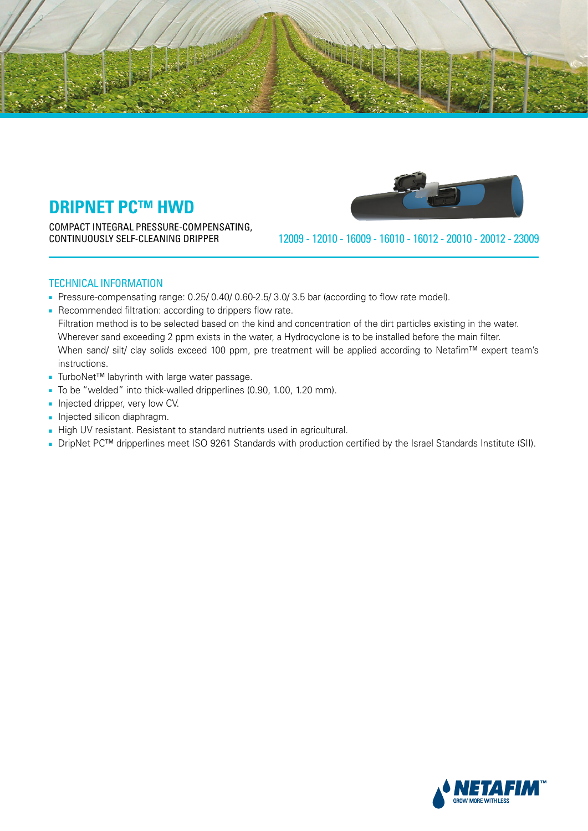

COMPACT INTEGRAL PRESSURE-COMPENSATING,



23009 - 20012 - 20010 - 16012 - 16010 - 16009 - 12010 - 12009 DRIPPER CLEANING-SELF CONTINUOUSLY

## **TECHNICAL INFORMATION**

- Pressure-compensating range: 0.25/ 0.40/ 0.60-2.5/ 3.0/ 3.5 bar (according to flow rate model).
- Recommended filtration: according to drippers flow rate. Filtration method is to be selected based on the kind and concentration of the dirt particles existing in the water. Wherever sand exceeding 2 ppm exists in the water, a Hydrocyclone is to be installed before the main filter. When sand/ silt/ clay solids exceed 100 ppm, pre treatment will be applied according to Netafim™ expert team's .instructions
- TurboNet™ labyrinth with large water passage.
- To be "welded" into thick-walled dripperlines (0.90, 1.00, 1.20 mm).

- Injected dripper, very low CV.
- Injected silicon diaphragm.
- High UV resistant. Resistant to standard nutrients used in agricultural.
- DripNet PC<sup>™</sup> dripperlines meet ISO 9261 Standards with production certified by the Israel Standards Institute (SII).

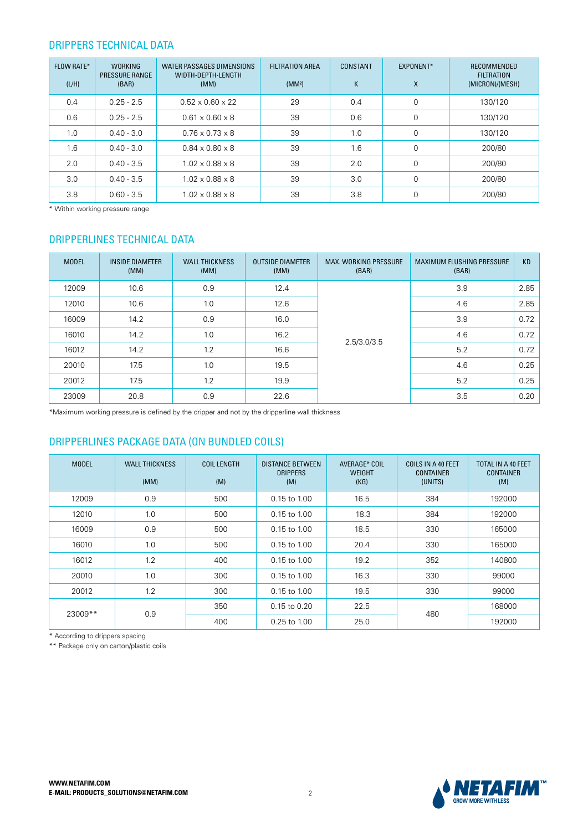## DRIPPERS TECHNICAL DATA

| <b>FLOW RATE*</b><br>(L/H) | <b>WORKING</b><br><b>PRESSURE RANGE</b><br>(BAR) | WATER PASSAGES DIMENSIONS<br>WIDTH-DEPTH-LENGTH<br>(MM) | <b>FILTRATION AREA</b><br>(MM <sup>2</sup> ) | CONSTANT<br>K | EXPONENT*<br>X | RECOMMENDED<br><b>FILTRATION</b><br>(MICRON)/(MESH) |
|----------------------------|--------------------------------------------------|---------------------------------------------------------|----------------------------------------------|---------------|----------------|-----------------------------------------------------|
| 0.4                        | $0.25 - 2.5$                                     | $0.52 \times 0.60 \times 22$                            | 29                                           | 0.4           | 0              | 130/120                                             |
| 0.6                        | $0.25 - 2.5$                                     | $0.61 \times 0.60 \times 8$                             | 39                                           | 0.6           | 0              | 130/120                                             |
| 1.0                        | $0.40 - 3.0$                                     | $0.76 \times 0.73 \times 8$                             | 39                                           | 1.0           | 0              | 130/120                                             |
| 1.6                        | $0.40 - 3.0$                                     | $0.84 \times 0.80 \times 8$                             | 39                                           | 1.6           | 0              | 200/80                                              |
| 2.0                        | $0.40 - 3.5$                                     | $1.02 \times 0.88 \times 8$                             | 39                                           | 2.0           | $\Omega$       | 200/80                                              |
| 3.0                        | $0.40 - 3.5$                                     | $1.02 \times 0.88 \times 8$                             | 39                                           | 3.0           | 0              | 200/80                                              |
| 3.8                        | $0.60 - 3.5$                                     | $1.02 \times 0.88 \times 8$                             | 39                                           | 3.8           | 0              | 200/80                                              |

\* Within working pressure range

### DRIPPERLINES TECHNICAL DATA

| <b>MODEL</b> | <b>INSIDE DIAMETER</b><br>(MM) | <b>WALL THICKNESS</b><br>(MM) | <b>OUTSIDE DIAMETER</b><br>(MM) | <b>MAX. WORKING PRESSURE</b><br>(BAR) | <b>MAXIMUM FLUSHING PRESSURE</b><br>(BAR) | <b>KD</b> |
|--------------|--------------------------------|-------------------------------|---------------------------------|---------------------------------------|-------------------------------------------|-----------|
| 12009        | 10.6                           | 0.9                           | 12.4                            |                                       | 3.9                                       | 2.85      |
| 12010        | 10.6                           | 1.0                           | 12.6                            |                                       | 4.6                                       | 2.85      |
| 16009        | 14.2                           | 0.9                           | 16.0                            |                                       | 3.9                                       | 0.72      |
| 16010        | 14.2                           | 1.0                           | 16.2                            | 2.5/3.0/3.5                           | 4.6                                       | 0.72      |
| 16012        | 14.2                           | 1.2                           | 16.6                            |                                       | 5.2                                       | 0.72      |
| 20010        | 17.5                           | 1.0                           | 19.5                            |                                       | 4.6                                       | 0.25      |
| 20012        | 17.5                           | 1.2                           | 19.9                            |                                       | 5.2                                       | 0.25      |
| 23009        | 20.8                           | 0.9                           | 22.6                            |                                       | 3.5                                       | 0.20      |

\*Maximum working pressure is defined by the dripper and not by the dripperline wall thickness

## DRIPPERLINES PACKAGE DATA (ON BUNDLED COILS)

| <b>MODEL</b> | <b>WALL THICKNESS</b><br>(MM) | <b>COIL LENGTH</b><br>(M) | <b>DISTANCE BETWEEN</b><br><b>DRIPPERS</b><br>(M) | AVERAGE* COIL<br><b>WEIGHT</b><br>(KG) | COILS IN A 40 FEET<br><b>CONTAINER</b><br>(UNITS) | TOTAL IN A 40 FEET<br><b>CONTAINER</b><br>(M) |
|--------------|-------------------------------|---------------------------|---------------------------------------------------|----------------------------------------|---------------------------------------------------|-----------------------------------------------|
| 12009        | 0.9                           | 500                       | 0.15 to 1.00                                      | 16.5                                   | 384                                               | 192000                                        |
| 12010        | 1.0                           | 500                       | 0.15 to 1.00                                      | 18.3                                   | 384                                               | 192000                                        |
| 16009        | 0.9                           | 500                       | $0.15$ to $1.00$                                  | 18.5                                   | 330                                               | 165000                                        |
| 16010        | 1.0                           | 500                       | $0.15$ to $1.00$                                  | 20.4                                   | 330                                               | 165000                                        |
| 16012        | 1.2                           | 400                       | $0.15$ to $1.00$                                  | 19.2                                   | 352                                               | 140800                                        |
| 20010        | 1.0                           | 300                       | $0.15$ to $1.00$                                  | 16.3                                   | 330                                               | 99000                                         |
| 20012        | 1.2                           | 300                       | $0.15$ to $1.00$                                  | 19.5                                   | 330                                               | 99000                                         |
|              |                               | 350                       | 0.15 to 0.20                                      | 22.5                                   |                                                   | 168000                                        |
| 23009**      | 0.9                           | 400                       | $0.25$ to $1.00$                                  | 480<br>25.0                            |                                                   | 192000                                        |

\* According to drippers spacing

\*\* Package only on carton/plastic coils

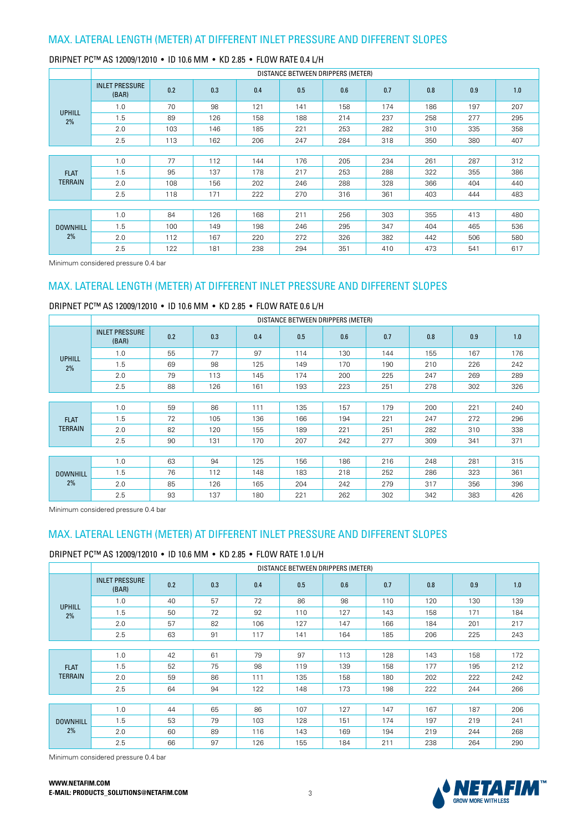|                       | DISTANCE BETWEEN DRIPPERS (METER) |     |     |     |     |     |     |     |     |     |  |  |
|-----------------------|-----------------------------------|-----|-----|-----|-----|-----|-----|-----|-----|-----|--|--|
|                       | <b>INLET PRESSURE</b><br>(BAR)    | 0.2 | 0.3 | 0.4 | 0.5 | 0.6 | 0.7 | 0.8 | 0.9 | 1.0 |  |  |
| <b>UPHILL</b>         | 1.0                               | 70  | 98  | 121 | 141 | 158 | 174 | 186 | 197 | 207 |  |  |
| 2%                    | 1.5                               | 89  | 126 | 158 | 188 | 214 | 237 | 258 | 277 | 295 |  |  |
|                       | 2.0                               | 103 | 146 | 185 | 221 | 253 | 282 | 310 | 335 | 358 |  |  |
|                       | 2.5                               | 113 | 162 | 206 | 247 | 284 | 318 | 350 | 380 | 407 |  |  |
|                       |                                   |     |     |     |     |     |     |     |     |     |  |  |
|                       | 1.0                               | 77  | 112 | 144 | 176 | 205 | 234 | 261 | 287 | 312 |  |  |
| <b>FLAT</b>           | 1.5                               | 95  | 137 | 178 | 217 | 253 | 288 | 322 | 355 | 386 |  |  |
| <b>TERRAIN</b>        | 2.0                               | 108 | 156 | 202 | 246 | 288 | 328 | 366 | 404 | 440 |  |  |
|                       | 2.5                               | 118 | 171 | 222 | 270 | 316 | 361 | 403 | 444 | 483 |  |  |
|                       |                                   |     |     |     |     |     |     |     |     |     |  |  |
|                       | 1.0                               | 84  | 126 | 168 | 211 | 256 | 303 | 355 | 413 | 480 |  |  |
| <b>DOWNHILL</b><br>2% | 1.5                               | 100 | 149 | 198 | 246 | 295 | 347 | 404 | 465 | 536 |  |  |
|                       | 2.0                               | 112 | 167 | 220 | 272 | 326 | 382 | 442 | 506 | 580 |  |  |
|                       | 2.5                               | 122 | 181 | 238 | 294 | 351 | 410 | 473 | 541 | 617 |  |  |

Minimum considered pressure 0.4 bar

## MAX. LATERAL LENGTH (METER) AT DIFFERENT INLET PRESSURE AND DIFFERENT SLOPES

DRIPNET PC™ AS 12009/12010 • ID 10.6 MM • KD 2.85 • FLOW RATE 0.6 L/H

|                 | DISTANCE BETWEEN DRIPPERS (METER) |     |     |     |     |     |     |     |     |     |  |  |
|-----------------|-----------------------------------|-----|-----|-----|-----|-----|-----|-----|-----|-----|--|--|
|                 | <b>INLET PRESSURE</b><br>(BAR)    | 0.2 | 0.3 | 0.4 | 0.5 | 0.6 | 0.7 | 0.8 | 0.9 | 1.0 |  |  |
| <b>UPHILL</b>   | 1.0                               | 55  | 77  | 97  | 114 | 130 | 144 | 155 | 167 | 176 |  |  |
| 2%              | 1.5                               | 69  | 98  | 125 | 149 | 170 | 190 | 210 | 226 | 242 |  |  |
|                 | 2.0                               | 79  | 113 | 145 | 174 | 200 | 225 | 247 | 269 | 289 |  |  |
|                 | 2.5                               | 88  | 126 | 161 | 193 | 223 | 251 | 278 | 302 | 326 |  |  |
|                 |                                   |     |     |     |     |     |     |     |     |     |  |  |
|                 | 1.0                               | 59  | 86  | 111 | 135 | 157 | 179 | 200 | 221 | 240 |  |  |
| <b>FLAT</b>     | 1.5                               | 72  | 105 | 136 | 166 | 194 | 221 | 247 | 272 | 296 |  |  |
| <b>TERRAIN</b>  | 2.0                               | 82  | 120 | 155 | 189 | 221 | 251 | 282 | 310 | 338 |  |  |
|                 | 2.5                               | 90  | 131 | 170 | 207 | 242 | 277 | 309 | 341 | 371 |  |  |
|                 |                                   |     |     |     |     |     |     |     |     |     |  |  |
|                 | 1.0                               | 63  | 94  | 125 | 156 | 186 | 216 | 248 | 281 | 315 |  |  |
| <b>DOWNHILL</b> | 1.5                               | 76  | 112 | 148 | 183 | 218 | 252 | 286 | 323 | 361 |  |  |
| 2%              | 2.0                               | 85  | 126 | 165 | 204 | 242 | 279 | 317 | 356 | 396 |  |  |
|                 | 2.5                               | 93  | 137 | 180 | 221 | 262 | 302 | 342 | 383 | 426 |  |  |

Minimum considered pressure 0.4 bar

## MAX. LATERAL LENGTH (METER) AT DIFFERENT INLET PRESSURE AND DIFFERENT SLOPES

#### DRIPNET PC™ AS 12009/12010 • ID 10.6 MM • KD 2.85 • FLOW RATE 1.0 L/H

|                       | DISTANCE BETWEEN DRIPPERS (METER) |     |     |     |     |     |     |     |     |     |  |  |  |
|-----------------------|-----------------------------------|-----|-----|-----|-----|-----|-----|-----|-----|-----|--|--|--|
|                       | <b>INLET PRESSURE</b><br>(BAR)    | 0.2 | 0.3 | 0.4 | 0.5 | 0.6 | 0.7 | 0.8 | 0.9 | 1.0 |  |  |  |
| <b>UPHILL</b>         | 1.0                               | 40  | 57  | 72  | 86  | 98  | 110 | 120 | 130 | 139 |  |  |  |
| 2%                    | 1.5                               | 50  | 72  | 92  | 110 | 127 | 143 | 158 | 171 | 184 |  |  |  |
|                       | 2.0                               | 57  | 82  | 106 | 127 | 147 | 166 | 184 | 201 | 217 |  |  |  |
|                       | 2.5                               | 63  | 91  | 117 | 141 | 164 | 185 | 206 | 225 | 243 |  |  |  |
|                       |                                   |     |     |     |     |     |     |     |     |     |  |  |  |
|                       | 1.0                               | 42  | 61  | 79  | 97  | 113 | 128 | 143 | 158 | 172 |  |  |  |
| <b>FLAT</b>           | 1.5                               | 52  | 75  | 98  | 119 | 139 | 158 | 177 | 195 | 212 |  |  |  |
| <b>TERRAIN</b>        | 2.0                               | 59  | 86  | 111 | 135 | 158 | 180 | 202 | 222 | 242 |  |  |  |
|                       | 2.5                               | 64  | 94  | 122 | 148 | 173 | 198 | 222 | 244 | 266 |  |  |  |
|                       |                                   |     |     |     |     |     |     |     |     |     |  |  |  |
|                       | 1.0                               | 44  | 65  | 86  | 107 | 127 | 147 | 167 | 187 | 206 |  |  |  |
| <b>DOWNHILL</b><br>2% | 1.5                               | 53  | 79  | 103 | 128 | 151 | 174 | 197 | 219 | 241 |  |  |  |
|                       | 2.0                               | 60  | 89  | 116 | 143 | 169 | 194 | 219 | 244 | 268 |  |  |  |
|                       | 2.5                               | 66  | 97  | 126 | 155 | 184 | 211 | 238 | 264 | 290 |  |  |  |

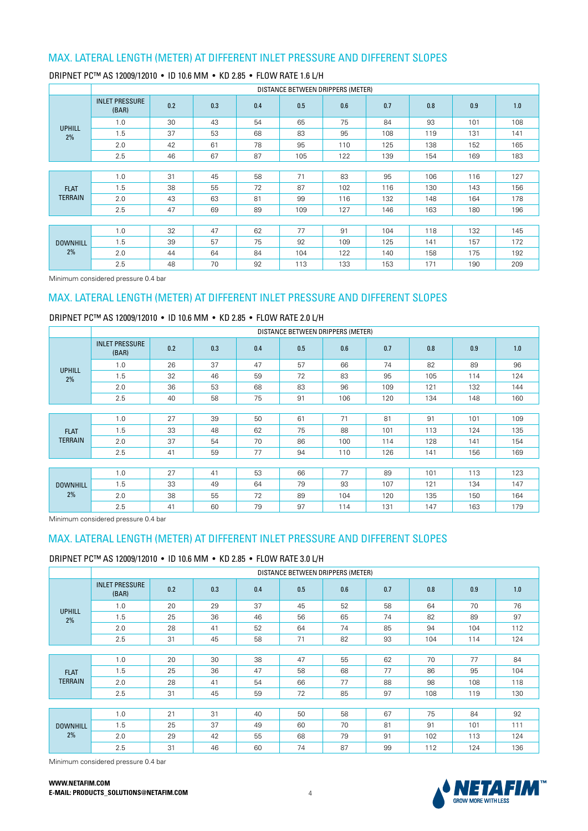|                       | DISTANCE BETWEEN DRIPPERS (METER) |     |     |     |     |     |     |     |     |     |  |  |
|-----------------------|-----------------------------------|-----|-----|-----|-----|-----|-----|-----|-----|-----|--|--|
|                       | <b>INLET PRESSURE</b><br>(BAR)    | 0.2 | 0.3 | 0.4 | 0.5 | 0.6 | 0.7 | 0.8 | 0.9 | 1.0 |  |  |
| <b>UPHILL</b>         | 1.0                               | 30  | 43  | 54  | 65  | 75  | 84  | 93  | 101 | 108 |  |  |
| 2%                    | 1.5                               | 37  | 53  | 68  | 83  | 95  | 108 | 119 | 131 | 141 |  |  |
|                       | 2.0                               | 42  | 61  | 78  | 95  | 110 | 125 | 138 | 152 | 165 |  |  |
|                       | 2.5                               | 46  | 67  | 87  | 105 | 122 | 139 | 154 | 169 | 183 |  |  |
|                       |                                   |     |     |     |     |     |     |     |     |     |  |  |
|                       | 1.0                               | 31  | 45  | 58  | 71  | 83  | 95  | 106 | 116 | 127 |  |  |
| <b>FLAT</b>           | 1.5                               | 38  | 55  | 72  | 87  | 102 | 116 | 130 | 143 | 156 |  |  |
| <b>TERRAIN</b>        | 2.0                               | 43  | 63  | 81  | 99  | 116 | 132 | 148 | 164 | 178 |  |  |
|                       | 2.5                               | 47  | 69  | 89  | 109 | 127 | 146 | 163 | 180 | 196 |  |  |
|                       |                                   |     |     |     |     |     |     |     |     |     |  |  |
|                       | 1.0                               | 32  | 47  | 62  | 77  | 91  | 104 | 118 | 132 | 145 |  |  |
| <b>DOWNHILL</b><br>2% | 1.5                               | 39  | 57  | 75  | 92  | 109 | 125 | 141 | 157 | 172 |  |  |
|                       | 2.0                               | 44  | 64  | 84  | 104 | 122 | 140 | 158 | 175 | 192 |  |  |
|                       | 2.5                               | 48  | 70  | 92  | 113 | 133 | 153 | 171 | 190 | 209 |  |  |

### DRIPNET PC™ AS 12009/12010 • ID 10.6 MM • KD 2.85 • FLOW RATE 1.6 L/H

Minimum considered pressure 0.4 bar

## MAX. LATERAL LENGTH (METER) AT DIFFERENT INLET PRESSURE AND DIFFERENT SLOPES

## DRIPNET PC™ AS 12009/12010 • ID 10.6 MM • KD 2.85 • FLOW RATE 2.0 L/H

|                 | DISTANCE BETWEEN DRIPPERS (METER) |     |     |     |     |     |     |     |     |     |  |  |
|-----------------|-----------------------------------|-----|-----|-----|-----|-----|-----|-----|-----|-----|--|--|
|                 | <b>INLET PRESSURE</b><br>(BAR)    | 0.2 | 0.3 | 0.4 | 0.5 | 0.6 | 0.7 | 0.8 | 0.9 | 1.0 |  |  |
| <b>UPHILL</b>   | 1.0                               | 26  | 37  | 47  | 57  | 66  | 74  | 82  | 89  | 96  |  |  |
| 2%              | 1.5                               | 32  | 46  | 59  | 72  | 83  | 95  | 105 | 114 | 124 |  |  |
|                 | 2.0                               | 36  | 53  | 68  | 83  | 96  | 109 | 121 | 132 | 144 |  |  |
|                 | 2.5                               | 40  | 58  | 75  | 91  | 106 | 120 | 134 | 148 | 160 |  |  |
|                 |                                   |     |     |     |     |     |     |     |     |     |  |  |
|                 | 1.0                               | 27  | 39  | 50  | 61  | 71  | 81  | 91  | 101 | 109 |  |  |
| <b>FLAT</b>     | 1.5                               | 33  | 48  | 62  | 75  | 88  | 101 | 113 | 124 | 135 |  |  |
| <b>TERRAIN</b>  | 2.0                               | 37  | 54  | 70  | 86  | 100 | 114 | 128 | 141 | 154 |  |  |
|                 | 2.5                               | 41  | 59  | 77  | 94  | 110 | 126 | 141 | 156 | 169 |  |  |
|                 |                                   |     |     |     |     |     |     |     |     |     |  |  |
|                 | 1.0                               | 27  | 41  | 53  | 66  | 77  | 89  | 101 | 113 | 123 |  |  |
| <b>DOWNHILL</b> | 1.5                               | 33  | 49  | 64  | 79  | 93  | 107 | 121 | 134 | 147 |  |  |
| 2%              | 2.0                               | 38  | 55  | 72  | 89  | 104 | 120 | 135 | 150 | 164 |  |  |
|                 | 2.5                               | 41  | 60  | 79  | 97  | 114 | 131 | 147 | 163 | 179 |  |  |

Minimum considered pressure 0.4 bar

### MAX. LATERAL LENGTH (METER) AT DIFFERENT INLET PRESSURE AND DIFFERENT SLOPES

### DRIPNET PC™ AS 12009/12010 • ID 10.6 MM • KD 2.85 • FLOW RATE 3.0 L/H

|                       |                                |     |     |     | DISTANCE BETWEEN DRIPPERS (METER) |     |     |     |     |     |  |
|-----------------------|--------------------------------|-----|-----|-----|-----------------------------------|-----|-----|-----|-----|-----|--|
|                       | <b>INLET PRESSURE</b><br>(BAR) | 0.2 | 0.3 | 0.4 | 0.5                               | 0.6 | 0.7 | 0.8 | 0.9 | 1.0 |  |
| <b>UPHILL</b>         | 1.0                            | 20  | 29  | 37  | 45                                | 52  | 58  | 64  | 70  | 76  |  |
| 2%                    | 1.5                            | 25  | 36  | 46  | 56                                | 65  | 74  | 82  | 89  | 97  |  |
|                       | 2.0                            | 28  | 41  | 52  | 64                                | 74  | 85  | 94  | 104 | 112 |  |
|                       | 2.5                            | 31  | 45  | 58  | 71                                | 82  | 93  | 104 | 114 | 124 |  |
|                       |                                |     |     |     |                                   |     |     |     |     |     |  |
|                       | 1.0                            | 20  | 30  | 38  | 47                                | 55  | 62  | 70  | 77  | 84  |  |
| <b>FLAT</b>           | 1.5                            | 25  | 36  | 47  | 58                                | 68  | 77  | 86  | 95  | 104 |  |
| <b>TERRAIN</b>        | 2.0                            | 28  | 41  | 54  | 66                                | 77  | 88  | 98  | 108 | 118 |  |
|                       | 2.5                            | 31  | 45  | 59  | 72                                | 85  | 97  | 108 | 119 | 130 |  |
|                       |                                |     |     |     |                                   |     |     |     |     |     |  |
|                       | 1.0                            | 21  | 31  | 40  | 50                                | 58  | 67  | 75  | 84  | 92  |  |
| <b>DOWNHILL</b><br>2% | 1.5                            | 25  | 37  | 49  | 60                                | 70  | 81  | 91  | 101 | 111 |  |
|                       | 2.0                            | 29  | 42  | 55  | 68                                | 79  | 91  | 102 | 113 | 124 |  |
|                       | 2.5                            | 31  | 46  | 60  | 74                                | 87  | 99  | 112 | 124 | 136 |  |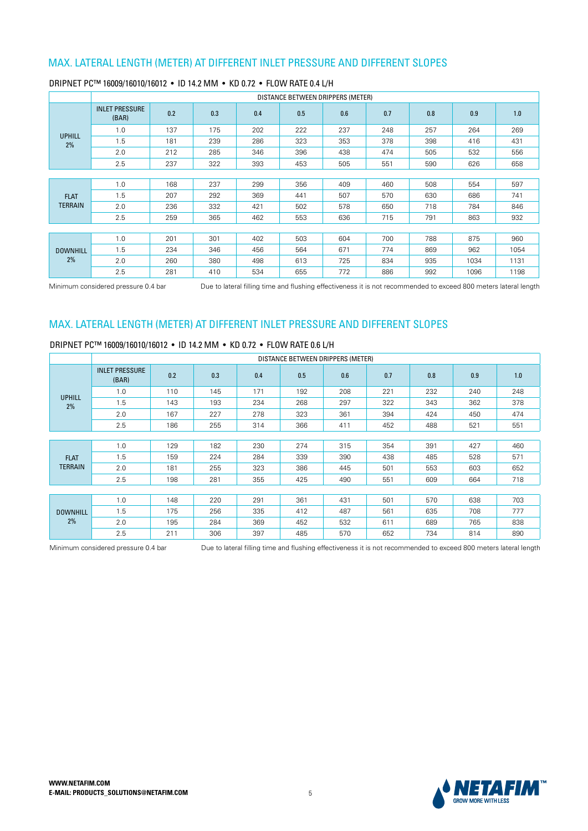|                 | DISTANCE BETWEEN DRIPPERS (METER) |     |     |     |     |     |     |     |      |      |  |  |
|-----------------|-----------------------------------|-----|-----|-----|-----|-----|-----|-----|------|------|--|--|
|                 | <b>INLET PRESSURE</b><br>(BAR)    | 0.2 | 0.3 | 0.4 | 0.5 | 0.6 | 0.7 | 0.8 | 0.9  | 1.0  |  |  |
| <b>UPHILL</b>   | 1.0                               | 137 | 175 | 202 | 222 | 237 | 248 | 257 | 264  | 269  |  |  |
| 2%              | 1.5                               | 181 | 239 | 286 | 323 | 353 | 378 | 398 | 416  | 431  |  |  |
|                 | 2.0                               | 212 | 285 | 346 | 396 | 438 | 474 | 505 | 532  | 556  |  |  |
|                 | 2.5                               | 237 | 322 | 393 | 453 | 505 | 551 | 590 | 626  | 658  |  |  |
|                 |                                   |     |     |     |     |     |     |     |      |      |  |  |
|                 | 1.0                               | 168 | 237 | 299 | 356 | 409 | 460 | 508 | 554  | 597  |  |  |
| <b>FLAT</b>     | 1.5                               | 207 | 292 | 369 | 441 | 507 | 570 | 630 | 686  | 741  |  |  |
| <b>TERRAIN</b>  | 2.0                               | 236 | 332 | 421 | 502 | 578 | 650 | 718 | 784  | 846  |  |  |
|                 | 2.5                               | 259 | 365 | 462 | 553 | 636 | 715 | 791 | 863  | 932  |  |  |
|                 |                                   |     |     |     |     |     |     |     |      |      |  |  |
|                 | 1.0                               | 201 | 301 | 402 | 503 | 604 | 700 | 788 | 875  | 960  |  |  |
| <b>DOWNHILL</b> | 1.5                               | 234 | 346 | 456 | 564 | 671 | 774 | 869 | 962  | 1054 |  |  |
| 2%              | 2.0                               | 260 | 380 | 498 | 613 | 725 | 834 | 935 | 1034 | 1131 |  |  |
|                 | 2.5                               | 281 | 410 | 534 | 655 | 772 | 886 | 992 | 1096 | 1198 |  |  |

#### DRIPNET PC™ 16009/16010/16012 • ID 14.2 MM • KD 0.72 • FLOW RATE 0.4 L/H

Minimum considered pressure 0.4 bar bue to lateral filling time and flushing effectiveness it is not recommended to exceed 800 meters lateral length

# MAX. LATERAL LENGTH (METER) AT DIFFERENT INLET PRESSURE AND DIFFERENT SLOPES

#### DRIPNFT PC™ 16009/16010/16012 • ID 14.2 MM • KD 0.72 • FLOW RATE 0.6 L/H

|                       |                                |     |     |     |     | DISTANCE BETWEEN DRIPPERS (METER) |     |     |     |     |  |
|-----------------------|--------------------------------|-----|-----|-----|-----|-----------------------------------|-----|-----|-----|-----|--|
|                       | <b>INLET PRESSURE</b><br>(BAR) | 0.2 | 0.3 | 0.4 | 0.5 | 0.6                               | 0.7 | 0.8 | 0.9 | 1.0 |  |
|                       | 1.0                            | 110 | 145 | 171 | 192 | 208                               | 221 | 232 | 240 | 248 |  |
| <b>UPHILL</b><br>2%   | 1.5                            | 143 | 193 | 234 | 268 | 297                               | 322 | 343 | 362 | 378 |  |
|                       | 2.0                            | 167 | 227 | 278 | 323 | 361                               | 394 | 424 | 450 | 474 |  |
|                       | 2.5                            | 186 | 255 | 314 | 366 | 411                               | 452 | 488 | 521 | 551 |  |
|                       |                                |     |     |     |     |                                   |     |     |     |     |  |
|                       | 1.0                            | 129 | 182 | 230 | 274 | 315                               | 354 | 391 | 427 | 460 |  |
| <b>FLAT</b>           | 1.5                            | 159 | 224 | 284 | 339 | 390                               | 438 | 485 | 528 | 571 |  |
| <b>TERRAIN</b>        | 2.0                            | 181 | 255 | 323 | 386 | 445                               | 501 | 553 | 603 | 652 |  |
|                       | 2.5                            | 198 | 281 | 355 | 425 | 490                               | 551 | 609 | 664 | 718 |  |
|                       |                                |     |     |     |     |                                   |     |     |     |     |  |
|                       | 1.0                            | 148 | 220 | 291 | 361 | 431                               | 501 | 570 | 638 | 703 |  |
| <b>DOWNHILL</b><br>2% | 1.5                            | 175 | 256 | 335 | 412 | 487                               | 561 | 635 | 708 | 777 |  |
|                       | 2.0                            | 195 | 284 | 369 | 452 | 532                               | 611 | 689 | 765 | 838 |  |
|                       | 2.5                            | 211 | 306 | 397 | 485 | 570                               | 652 | 734 | 814 | 890 |  |

Minimum considered pressure 0.4 bar **Due to lateral filling time and flushing effectiveness it is not recommended to exceed 800 meters lateral length** 

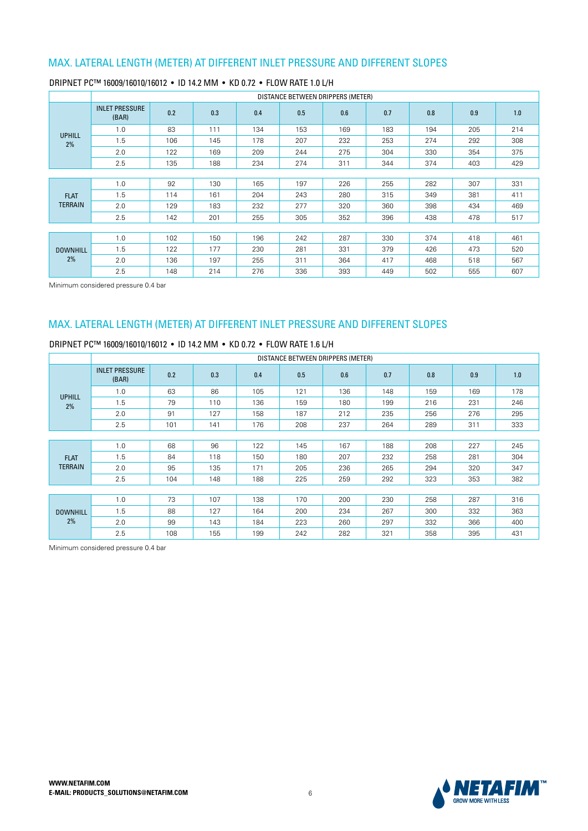|                 |                                |     |     |     | DISTANCE BETWEEN DRIPPERS (METER) |     |     |     |     |     |
|-----------------|--------------------------------|-----|-----|-----|-----------------------------------|-----|-----|-----|-----|-----|
|                 | <b>INLET PRESSURE</b><br>(BAR) | 0.2 | 0.3 | 0.4 | 0.5                               | 0.6 | 0.7 | 0.8 | 0.9 | 1.0 |
| <b>UPHILL</b>   | 1.0                            | 83  | 111 | 134 | 153                               | 169 | 183 | 194 | 205 | 214 |
| 2%              | 1.5                            | 106 | 145 | 178 | 207                               | 232 | 253 | 274 | 292 | 308 |
|                 | 2.0                            | 122 | 169 | 209 | 244                               | 275 | 304 | 330 | 354 | 375 |
|                 | 2.5                            | 135 | 188 | 234 | 274                               | 311 | 344 | 374 | 403 | 429 |
|                 |                                |     |     |     |                                   |     |     |     |     |     |
|                 | 1.0                            | 92  | 130 | 165 | 197                               | 226 | 255 | 282 | 307 | 331 |
| <b>FLAT</b>     | 1.5                            | 114 | 161 | 204 | 243                               | 280 | 315 | 349 | 381 | 411 |
| <b>TERRAIN</b>  | 2.0                            | 129 | 183 | 232 | 277                               | 320 | 360 | 398 | 434 | 469 |
|                 | 2.5                            | 142 | 201 | 255 | 305                               | 352 | 396 | 438 | 478 | 517 |
|                 |                                |     |     |     |                                   |     |     |     |     |     |
|                 | 1.0                            | 102 | 150 | 196 | 242                               | 287 | 330 | 374 | 418 | 461 |
| <b>DOWNHILL</b> | 1.5                            | 122 | 177 | 230 | 281                               | 331 | 379 | 426 | 473 | 520 |
| 2%              | 2.0                            | 136 | 197 | 255 | 311                               | 364 | 417 | 468 | 518 | 567 |
|                 | 2.5                            | 148 | 214 | 276 | 336                               | 393 | 449 | 502 | 555 | 607 |

### DRIPNET PC™ 16009/16010/16012 • ID 14.2 MM • KD 0.72 • FLOW RATE 1.0 L/H

Minimum considered pressure 0.4 bar

# MAX. LATERAL LENGTH (METER) AT DIFFERENT INLET PRESSURE AND DIFFERENT SLOPES

#### DRIPNET PC™ 16009/16010/16012 • ID 14.2 MM • KD 0.72 • FLOW RATE 1.6 L/H

|                     |                                |     |     |     | DISTANCE BETWEEN DRIPPERS (METER) |     |     |     |     |     |
|---------------------|--------------------------------|-----|-----|-----|-----------------------------------|-----|-----|-----|-----|-----|
|                     | <b>INLET PRESSURE</b><br>(BAR) | 0.2 | 0.3 | 0.4 | 0.5                               | 0.6 | 0.7 | 0.8 | 0.9 | 1.0 |
|                     | 1.0                            | 63  | 86  | 105 | 121                               | 136 | 148 | 159 | 169 | 178 |
| <b>UPHILL</b><br>2% | 1.5                            | 79  | 110 | 136 | 159                               | 180 | 199 | 216 | 231 | 246 |
|                     | 2.0                            | 91  | 127 | 158 | 187                               | 212 | 235 | 256 | 276 | 295 |
|                     | 2.5                            | 101 | 141 | 176 | 208                               | 237 | 264 | 289 | 311 | 333 |
|                     |                                |     |     |     |                                   |     |     |     |     |     |
|                     | 1.0                            | 68  | 96  | 122 | 145                               | 167 | 188 | 208 | 227 | 245 |
| <b>FLAT</b>         | 1.5                            | 84  | 118 | 150 | 180                               | 207 | 232 | 258 | 281 | 304 |
| <b>TERRAIN</b>      | 2.0                            | 95  | 135 | 171 | 205                               | 236 | 265 | 294 | 320 | 347 |
|                     | 2.5                            | 104 | 148 | 188 | 225                               | 259 | 292 | 323 | 353 | 382 |
|                     |                                |     |     |     |                                   |     |     |     |     |     |
|                     | 1.0                            | 73  | 107 | 138 | 170                               | 200 | 230 | 258 | 287 | 316 |
| <b>DOWNHILL</b>     | 1.5                            | 88  | 127 | 164 | 200                               | 234 | 267 | 300 | 332 | 363 |
| 2%                  | 2.0                            | 99  | 143 | 184 | 223                               | 260 | 297 | 332 | 366 | 400 |
|                     | 2.5                            | 108 | 155 | 199 | 242                               | 282 | 321 | 358 | 395 | 431 |

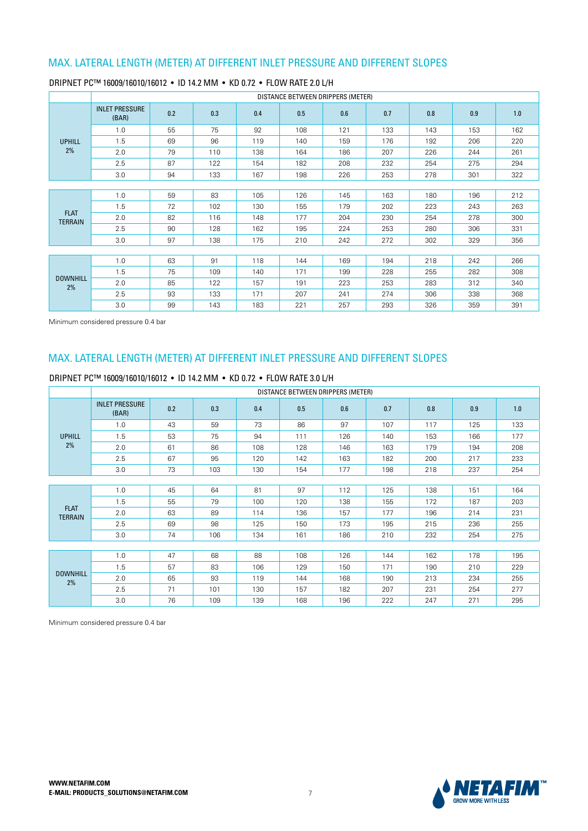|                       |                                |     |     |     |     | DISTANCE BETWEEN DRIPPERS (METER) |     |     |     |     |
|-----------------------|--------------------------------|-----|-----|-----|-----|-----------------------------------|-----|-----|-----|-----|
|                       | <b>INLET PRESSURE</b><br>(BAR) | 0.2 | 0.3 | 0.4 | 0.5 | 0.6                               | 0.7 | 0.8 | 0.9 | 1.0 |
|                       | 1.0                            | 55  | 75  | 92  | 108 | 121                               | 133 | 143 | 153 | 162 |
| <b>UPHILL</b>         | 1.5                            | 69  | 96  | 119 | 140 | 159                               | 176 | 192 | 206 | 220 |
| 2%                    | 2.0                            | 79  | 110 | 138 | 164 | 186                               | 207 | 226 | 244 | 261 |
|                       | 2.5                            | 87  | 122 | 154 | 182 | 208                               | 232 | 254 | 275 | 294 |
|                       | 3.0                            | 94  | 133 | 167 | 198 | 226                               | 253 | 278 | 301 | 322 |
|                       |                                |     |     |     |     |                                   |     |     |     |     |
|                       | 1.0                            | 59  | 83  | 105 | 126 | 145                               | 163 | 180 | 196 | 212 |
| <b>FLAT</b>           | 1.5                            | 72  | 102 | 130 | 155 | 179                               | 202 | 223 | 243 | 263 |
| <b>TERRAIN</b>        | 2.0                            | 82  | 116 | 148 | 177 | 204                               | 230 | 254 | 278 | 300 |
|                       | 2.5                            | 90  | 128 | 162 | 195 | 224                               | 253 | 280 | 306 | 331 |
|                       | 3.0                            | 97  | 138 | 175 | 210 | 242                               | 272 | 302 | 329 | 356 |
|                       |                                |     |     |     |     |                                   |     |     |     |     |
|                       | 1.0                            | 63  | 91  | 118 | 144 | 169                               | 194 | 218 | 242 | 266 |
|                       | 1.5                            | 75  | 109 | 140 | 171 | 199                               | 228 | 255 | 282 | 308 |
| <b>DOWNHILL</b><br>2% | 2.0                            | 85  | 122 | 157 | 191 | 223                               | 253 | 283 | 312 | 340 |
|                       | 2.5                            | 93  | 133 | 171 | 207 | 241                               | 274 | 306 | 338 | 368 |
|                       | 3.0                            | 99  | 143 | 183 | 221 | 257                               | 293 | 326 | 359 | 391 |

#### DRIPNET PC™ 16009/16010/16012 • ID 14.2 MM • KD 0.72 • FLOW RATE 2.0 L/H

Minimum considered pressure 0.4 bar

## MAX. LATERAL LENGTH (METER) AT DIFFERENT INLET PRESSURE AND DIFFERENT SLOPES

#### DRIPNET PC™ 16009/16010/16012 • ID 14.2 MM • KD 0.72 • FLOW RATE 3.0 L/H

|                               |                       | DISTANCE BETWEEN DRIPPERS (METER)<br>0.2<br>0.3<br>0.4<br>0.6<br>0.7<br>0.9<br>1.0<br>0.5<br>0.8<br>(BAR)<br>43<br>59<br>73<br>86<br>97<br>107<br>133<br>1.0<br>117<br>125<br>1.5<br>94<br>53<br>75<br>111<br>126<br>140<br>153<br>166<br>177<br>2.0<br>86<br>61<br>108<br>128<br>146<br>163<br>208<br>179<br>194 |     |     |     |     |     |     |     |     |  |  |
|-------------------------------|-----------------------|-------------------------------------------------------------------------------------------------------------------------------------------------------------------------------------------------------------------------------------------------------------------------------------------------------------------|-----|-----|-----|-----|-----|-----|-----|-----|--|--|
|                               | <b>INLET PRESSURE</b> |                                                                                                                                                                                                                                                                                                                   |     |     |     |     |     |     |     |     |  |  |
|                               |                       |                                                                                                                                                                                                                                                                                                                   |     |     |     |     |     |     |     |     |  |  |
| <b>UPHILL</b>                 |                       |                                                                                                                                                                                                                                                                                                                   |     |     |     |     |     |     |     |     |  |  |
| 2%                            |                       |                                                                                                                                                                                                                                                                                                                   |     |     |     |     |     |     |     |     |  |  |
|                               | 2.5                   | 67                                                                                                                                                                                                                                                                                                                | 95  | 120 | 142 | 163 | 182 | 200 | 217 | 233 |  |  |
|                               | 3.0                   | 73                                                                                                                                                                                                                                                                                                                | 103 | 130 | 154 | 177 | 198 | 218 | 237 | 254 |  |  |
|                               |                       |                                                                                                                                                                                                                                                                                                                   |     |     |     |     |     |     |     |     |  |  |
|                               | 1.0                   | 45                                                                                                                                                                                                                                                                                                                | 64  | 81  | 97  | 112 | 125 | 138 | 151 | 164 |  |  |
|                               | 1.5                   | 55                                                                                                                                                                                                                                                                                                                | 79  | 100 | 120 | 138 | 155 | 172 | 187 | 203 |  |  |
| <b>FLAT</b><br><b>TERRAIN</b> | 2.0                   | 63                                                                                                                                                                                                                                                                                                                | 89  | 114 | 136 | 157 | 177 | 196 | 214 | 231 |  |  |
|                               | 2.5                   | 69                                                                                                                                                                                                                                                                                                                | 98  | 125 | 150 | 173 | 195 | 215 | 236 | 255 |  |  |
|                               | 3.0                   | 74                                                                                                                                                                                                                                                                                                                | 106 | 134 | 161 | 186 | 210 | 232 | 254 | 275 |  |  |
|                               |                       |                                                                                                                                                                                                                                                                                                                   |     |     |     |     |     |     |     |     |  |  |
|                               | 1.0                   | 47                                                                                                                                                                                                                                                                                                                | 68  | 88  | 108 | 126 | 144 | 162 | 178 | 195 |  |  |
|                               | 1.5                   | 57                                                                                                                                                                                                                                                                                                                | 83  | 106 | 129 | 150 | 171 | 190 | 210 | 229 |  |  |
| <b>DOWNHILL</b><br>2%         | 2.0                   | 65                                                                                                                                                                                                                                                                                                                | 93  | 119 | 144 | 168 | 190 | 213 | 234 | 255 |  |  |
|                               | 2.5                   | 71                                                                                                                                                                                                                                                                                                                | 101 | 130 | 157 | 182 | 207 | 231 | 254 | 277 |  |  |
|                               | 3.0                   | 76                                                                                                                                                                                                                                                                                                                | 109 | 139 | 168 | 196 | 222 | 247 | 271 | 295 |  |  |

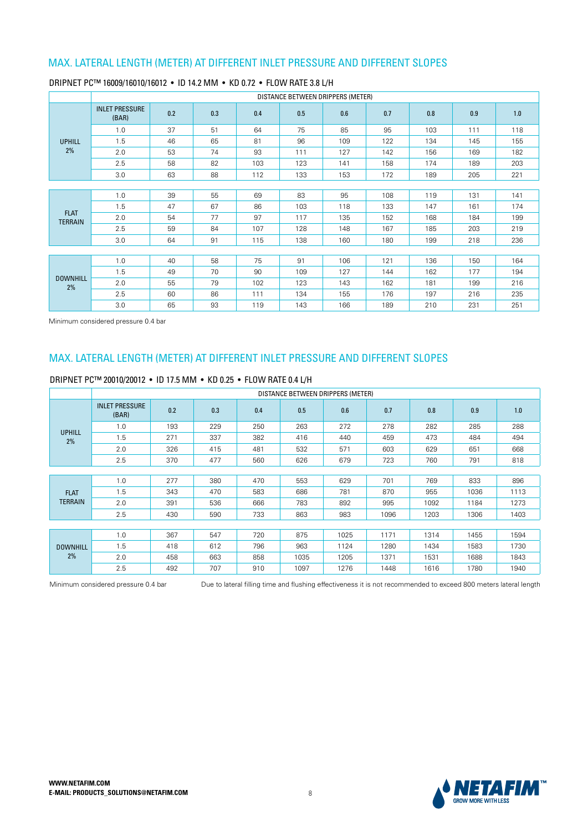|                               |                                |     |     |     | DISTANCE BETWEEN DRIPPERS (METER) |     |     |     |     |     |
|-------------------------------|--------------------------------|-----|-----|-----|-----------------------------------|-----|-----|-----|-----|-----|
|                               | <b>INLET PRESSURE</b><br>(BAR) | 0.2 | 0.3 | 0.4 | 0.5                               | 0.6 | 0.7 | 0.8 | 0.9 | 1.0 |
|                               | 1.0                            | 37  | 51  | 64  | 75                                | 85  | 95  | 103 | 111 | 118 |
| <b>UPHILL</b>                 | 1.5                            | 46  | 65  | 81  | 96                                | 109 | 122 | 134 | 145 | 155 |
| 2%                            | 2.0                            | 53  | 74  | 93  | 111                               | 127 | 142 | 156 | 169 | 182 |
|                               | 2.5                            | 58  | 82  | 103 | 123                               | 141 | 158 | 174 | 189 | 203 |
|                               | 3.0                            | 63  | 88  | 112 | 133                               | 153 | 172 | 189 | 205 | 221 |
|                               |                                |     |     |     |                                   |     |     |     |     |     |
|                               | 1.0                            | 39  | 55  | 69  | 83                                | 95  | 108 | 119 | 131 | 141 |
|                               | 1.5                            | 47  | 67  | 86  | 103                               | 118 | 133 | 147 | 161 | 174 |
| <b>FLAT</b><br><b>TERRAIN</b> | 2.0                            | 54  | 77  | 97  | 117                               | 135 | 152 | 168 | 184 | 199 |
|                               | 2.5                            | 59  | 84  | 107 | 128                               | 148 | 167 | 185 | 203 | 219 |
|                               | 3.0                            | 64  | 91  | 115 | 138                               | 160 | 180 | 199 | 218 | 236 |
|                               |                                |     |     |     |                                   |     |     |     |     |     |
|                               | 1.0                            | 40  | 58  | 75  | 91                                | 106 | 121 | 136 | 150 | 164 |
|                               | 1.5                            | 49  | 70  | 90  | 109                               | 127 | 144 | 162 | 177 | 194 |
| <b>DOWNHILL</b><br>2%         | 2.0                            | 55  | 79  | 102 | 123                               | 143 | 162 | 181 | 199 | 216 |
|                               | 2.5                            | 60  | 86  | 111 | 134                               | 155 | 176 | 197 | 216 | 235 |
|                               | 3.0                            | 65  | 93  | 119 | 143                               | 166 | 189 | 210 | 231 | 251 |

#### DRIPNET PC™ 16009/16010/16012 • ID 14.2 MM • KD 0.72 • FLOW RATE 3.8 L/H

Minimum considered pressure 0.4 bar

## MAX. LATERAL LENGTH (METER) AT DIFFERENT INLET PRESSURE AND DIFFERENT SLOPES

|                 |                                |     |     |     | DISTANCE BETWEEN DRIPPERS (METER) |      |      |      |      |      |
|-----------------|--------------------------------|-----|-----|-----|-----------------------------------|------|------|------|------|------|
|                 | <b>INLET PRESSURE</b><br>(BAR) | 0.2 | 0.3 | 0.4 | 0.5                               | 0.6  | 0.7  | 0.8  | 0.9  | 1.0  |
| <b>UPHILL</b>   | 1.0                            | 193 | 229 | 250 | 263                               | 272  | 278  | 282  | 285  | 288  |
| 2%              | 1.5                            | 271 | 337 | 382 | 416                               | 440  | 459  | 473  | 484  | 494  |
|                 | 2.0                            | 326 | 415 | 481 | 532                               | 571  | 603  | 629  | 651  | 668  |
|                 | 2.5                            | 370 | 477 | 560 | 626                               | 679  | 723  | 760  | 791  | 818  |
|                 |                                |     |     |     |                                   |      |      |      |      |      |
|                 | 1.0                            | 277 | 380 | 470 | 553                               | 629  | 701  | 769  | 833  | 896  |
| <b>FLAT</b>     | 1.5                            | 343 | 470 | 583 | 686                               | 781  | 870  | 955  | 1036 | 1113 |
| <b>TERRAIN</b>  | 2.0                            | 391 | 536 | 666 | 783                               | 892  | 995  | 1092 | 1184 | 1273 |
|                 | 2.5                            | 430 | 590 | 733 | 863                               | 983  | 1096 | 1203 | 1306 | 1403 |
|                 |                                |     |     |     |                                   |      |      |      |      |      |
|                 | 1.0                            | 367 | 547 | 720 | 875                               | 1025 | 1171 | 1314 | 1455 | 1594 |
| <b>DOWNHILL</b> | 1.5                            | 418 | 612 | 796 | 963                               | 1124 | 1280 | 1434 | 1583 | 1730 |
| 2%              | 2.0                            | 458 | 663 | 858 | 1035                              | 1205 | 1371 | 1531 | 1688 | 1843 |
|                 | 2.5                            | 492 | 707 | 910 | 1097                              | 1276 | 1448 | 1616 | 1780 | 1940 |

#### DRIPNET PC™ 20010/20012 • ID 17.5 MM • KD 0.25 • FLOW RATE 0.4 L/H

Minimum considered pressure 0.4 bar bue to lateral filling time and flushing effectiveness it is not recommended to exceed 800 meters lateral length

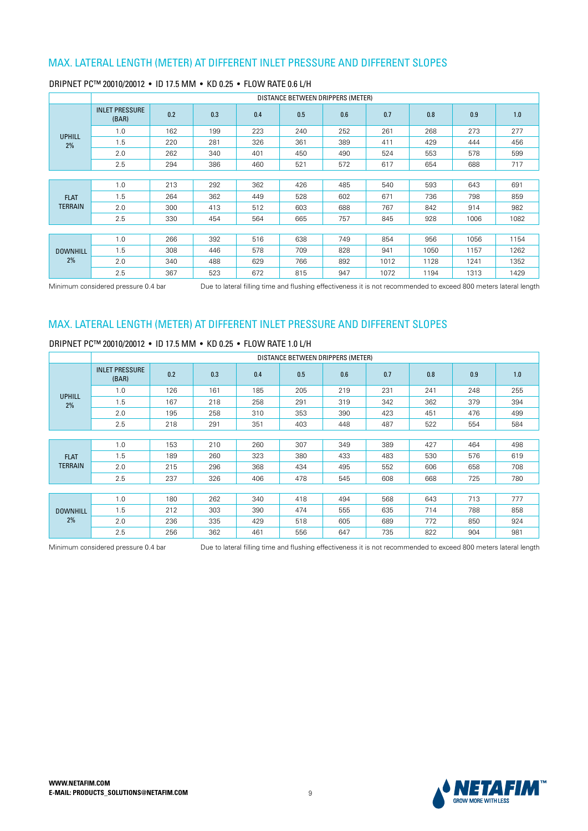|                 |                                |     |     |     | DISTANCE BETWEEN DRIPPERS (METER) |     |      |      |      |      |
|-----------------|--------------------------------|-----|-----|-----|-----------------------------------|-----|------|------|------|------|
|                 | <b>INLET PRESSURE</b><br>(BAR) | 0.2 | 0.3 | 0.4 | 0.5                               | 0.6 | 0.7  | 0.8  | 0.9  | 1.0  |
| <b>UPHILL</b>   | 1.0                            | 162 | 199 | 223 | 240                               | 252 | 261  | 268  | 273  | 277  |
| 2%              | 1.5                            | 220 | 281 | 326 | 361                               | 389 | 411  | 429  | 444  | 456  |
|                 | 2.0                            | 262 | 340 | 401 | 450                               | 490 | 524  | 553  | 578  | 599  |
|                 | 2.5                            | 294 | 386 | 460 | 521                               | 572 | 617  | 654  | 688  | 717  |
|                 |                                |     |     |     |                                   |     |      |      |      |      |
|                 | 1.0                            | 213 | 292 | 362 | 426                               | 485 | 540  | 593  | 643  | 691  |
| <b>FLAT</b>     | 1.5                            | 264 | 362 | 449 | 528                               | 602 | 671  | 736  | 798  | 859  |
| <b>TERRAIN</b>  | 2.0                            | 300 | 413 | 512 | 603                               | 688 | 767  | 842  | 914  | 982  |
|                 | 2.5                            | 330 | 454 | 564 | 665                               | 757 | 845  | 928  | 1006 | 1082 |
|                 |                                |     |     |     |                                   |     |      |      |      |      |
|                 | 1.0                            | 266 | 392 | 516 | 638                               | 749 | 854  | 956  | 1056 | 1154 |
| <b>DOWNHILL</b> | 1.5                            | 308 | 446 | 578 | 709                               | 828 | 941  | 1050 | 1157 | 1262 |
| 2%              | 2.0                            | 340 | 488 | 629 | 766                               | 892 | 1012 | 1128 | 1241 | 1352 |
|                 | 2.5                            | 367 | 523 | 672 | 815                               | 947 | 1072 | 1194 | 1313 | 1429 |

### DRIPNET PC™ 20010/20012 • ID 17.5 MM • KD 0.25 • FLOW RATE 0.6 L/H

Minimum considered pressure 0.4 bar bue to lateral filling time and flushing effectiveness it is not recommended to exceed 800 meters lateral length

## MAX. LATERAL LENGTH (METER) AT DIFFERENT INLET PRESSURE AND DIFFERENT SLOPES

### DRIPNET PC™ 20010/20012 • ID 17.5 MM • KD 0.25 • FLOW RATE 1.0 L/H

|                 |                                |     |     |     | DISTANCE BETWEEN DRIPPERS (METER) |     |     |     |     |     |
|-----------------|--------------------------------|-----|-----|-----|-----------------------------------|-----|-----|-----|-----|-----|
|                 | <b>INLET PRESSURE</b><br>(BAR) | 0.2 | 0.3 | 0.4 | 0.5                               | 0.6 | 0.7 | 0.8 | 0.9 | 1.0 |
| <b>UPHILL</b>   | 1.0                            | 126 | 161 | 185 | 205                               | 219 | 231 | 241 | 248 | 255 |
| 2%              | 1.5                            | 167 | 218 | 258 | 291                               | 319 | 342 | 362 | 379 | 394 |
|                 | 2.0                            | 195 | 258 | 310 | 353                               | 390 | 423 | 451 | 476 | 499 |
|                 | 2.5                            | 218 | 291 | 351 | 403                               | 448 | 487 | 522 | 554 | 584 |
|                 |                                |     |     |     |                                   |     |     |     |     |     |
|                 | 1.0                            | 153 | 210 | 260 | 307                               | 349 | 389 | 427 | 464 | 498 |
| <b>FLAT</b>     | 1.5                            | 189 | 260 | 323 | 380                               | 433 | 483 | 530 | 576 | 619 |
| <b>TERRAIN</b>  | 2.0                            | 215 | 296 | 368 | 434                               | 495 | 552 | 606 | 658 | 708 |
|                 | 2.5                            | 237 | 326 | 406 | 478                               | 545 | 608 | 668 | 725 | 780 |
|                 |                                |     |     |     |                                   |     |     |     |     |     |
|                 | 1.0                            | 180 | 262 | 340 | 418                               | 494 | 568 | 643 | 713 | 777 |
| <b>DOWNHILL</b> | 1.5                            | 212 | 303 | 390 | 474                               | 555 | 635 | 714 | 788 | 858 |
| 2%              | 2.0                            | 236 | 335 | 429 | 518                               | 605 | 689 | 772 | 850 | 924 |
|                 | 2.5                            | 256 | 362 | 461 | 556                               | 647 | 735 | 822 | 904 | 981 |

Minimum considered pressure 0.4 bar <br>
Due to lateral filling time and flushing effectiveness it is not recommended to exceed 800 meters lateral length

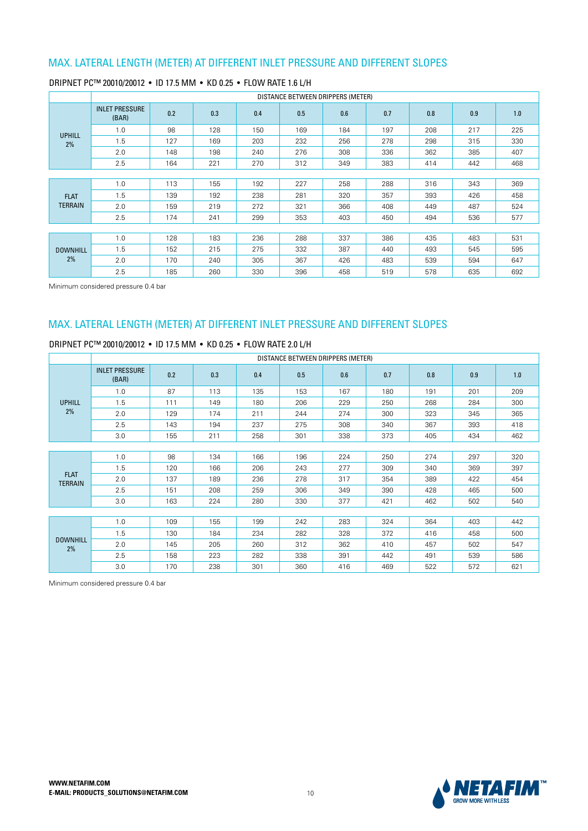|                 |                                |     |     |     |     | DISTANCE BETWEEN DRIPPERS (METER) |     |     |     |     |
|-----------------|--------------------------------|-----|-----|-----|-----|-----------------------------------|-----|-----|-----|-----|
|                 | <b>INLET PRESSURE</b><br>(BAR) | 0.2 | 0.3 | 0.4 | 0.5 | 0.6                               | 0.7 | 0.8 | 0.9 | 1.0 |
| <b>UPHILL</b>   | 1.0                            | 98  | 128 | 150 | 169 | 184                               | 197 | 208 | 217 | 225 |
| 2%              | 1.5                            | 127 | 169 | 203 | 232 | 256                               | 278 | 298 | 315 | 330 |
|                 | 2.0                            | 148 | 198 | 240 | 276 | 308                               | 336 | 362 | 385 | 407 |
|                 | 2.5                            | 164 | 221 | 270 | 312 | 349                               | 383 | 414 | 442 | 468 |
|                 |                                |     |     |     |     |                                   |     |     |     |     |
|                 | 1.0                            | 113 | 155 | 192 | 227 | 258                               | 288 | 316 | 343 | 369 |
| <b>FLAT</b>     | 1.5                            | 139 | 192 | 238 | 281 | 320                               | 357 | 393 | 426 | 458 |
| <b>TERRAIN</b>  | 2.0                            | 159 | 219 | 272 | 321 | 366                               | 408 | 449 | 487 | 524 |
|                 | 2.5                            | 174 | 241 | 299 | 353 | 403                               | 450 | 494 | 536 | 577 |
|                 |                                |     |     |     |     |                                   |     |     |     |     |
|                 | 1.0                            | 128 | 183 | 236 | 288 | 337                               | 386 | 435 | 483 | 531 |
| <b>DOWNHILL</b> | 1.5                            | 152 | 215 | 275 | 332 | 387                               | 440 | 493 | 545 | 595 |
| 2%              | 2.0                            | 170 | 240 | 305 | 367 | 426                               | 483 | 539 | 594 | 647 |
|                 | 2.5                            | 185 | 260 | 330 | 396 | 458                               | 519 | 578 | 635 | 692 |

### DRIPNET PC™ 20010/20012 • ID 17.5 MM • KD 0.25 • FLOW RATE 1.6 L/H

Minimum considered pressure 0.4 bar

## MAX. LATERAL LENGTH (METER) AT DIFFERENT INLET PRESSURE AND DIFFERENT SLOPES

#### DRIPNET PC™ 20010/20012 • ID 17.5 MM • KD 0.25 • FLOW RATE 2.0 L/H

|                               |                                |     |     |     | DISTANCE BETWEEN DRIPPERS (METER) |     |     |     |     |     |
|-------------------------------|--------------------------------|-----|-----|-----|-----------------------------------|-----|-----|-----|-----|-----|
|                               | <b>INLET PRESSURE</b><br>(BAR) | 0.2 | 0.3 | 0.4 | 0.5                               | 0.6 | 0.7 | 0.8 | 0.9 | 1.0 |
|                               | 1.0                            | 87  | 113 | 135 | 153                               | 167 | 180 | 191 | 201 | 209 |
| <b>UPHILL</b>                 | 1.5                            | 111 | 149 | 180 | 206                               | 229 | 250 | 268 | 284 | 300 |
| 2%                            | 2.0                            | 129 | 174 | 211 | 244                               | 274 | 300 | 323 | 345 | 365 |
|                               | 2.5                            | 143 | 194 | 237 | 275                               | 308 | 340 | 367 | 393 | 418 |
|                               | 3.0                            | 155 | 211 | 258 | 301                               | 338 | 373 | 405 | 434 | 462 |
|                               |                                |     |     |     |                                   |     |     |     |     |     |
|                               | 1.0                            | 98  | 134 | 166 | 196                               | 224 | 250 | 274 | 297 | 320 |
|                               | 1.5                            | 120 | 166 | 206 | 243                               | 277 | 309 | 340 | 369 | 397 |
| <b>FLAT</b><br><b>TERRAIN</b> | 2.0                            | 137 | 189 | 236 | 278                               | 317 | 354 | 389 | 422 | 454 |
|                               | 2.5                            | 151 | 208 | 259 | 306                               | 349 | 390 | 428 | 465 | 500 |
|                               | 3.0                            | 163 | 224 | 280 | 330                               | 377 | 421 | 462 | 502 | 540 |
|                               |                                |     |     |     |                                   |     |     |     |     |     |
|                               | 1.0                            | 109 | 155 | 199 | 242                               | 283 | 324 | 364 | 403 | 442 |
|                               | 1.5                            | 130 | 184 | 234 | 282                               | 328 | 372 | 416 | 458 | 500 |
| <b>DOWNHILL</b><br>2%         | 2.0                            | 145 | 205 | 260 | 312                               | 362 | 410 | 457 | 502 | 547 |
|                               | 2.5                            | 158 | 223 | 282 | 338                               | 391 | 442 | 491 | 539 | 586 |
|                               | 3.0                            | 170 | 238 | 301 | 360                               | 416 | 469 | 522 | 572 | 621 |



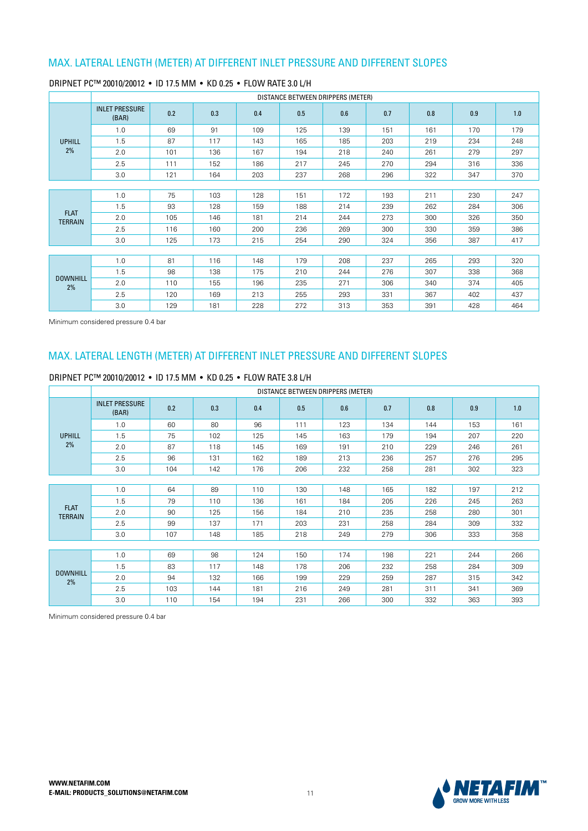|                               |                                |     |     |     | DISTANCE BETWEEN DRIPPERS (METER) |     |     |     |     |     |
|-------------------------------|--------------------------------|-----|-----|-----|-----------------------------------|-----|-----|-----|-----|-----|
|                               | <b>INLET PRESSURE</b><br>(BAR) | 0.2 | 0.3 | 0.4 | 0.5                               | 0.6 | 0.7 | 0.8 | 0.9 | 1.0 |
|                               | 1.0                            | 69  | 91  | 109 | 125                               | 139 | 151 | 161 | 170 | 179 |
| <b>UPHILL</b>                 | 1.5                            | 87  | 117 | 143 | 165                               | 185 | 203 | 219 | 234 | 248 |
| 2%                            | 2.0                            | 101 | 136 | 167 | 194                               | 218 | 240 | 261 | 279 | 297 |
|                               | 2.5                            | 111 | 152 | 186 | 217                               | 245 | 270 | 294 | 316 | 336 |
|                               | 3.0                            | 121 | 164 | 203 | 237                               | 268 | 296 | 322 | 347 | 370 |
|                               |                                |     |     |     |                                   |     |     |     |     |     |
|                               | 1.0                            | 75  | 103 | 128 | 151                               | 172 | 193 | 211 | 230 | 247 |
|                               | 1.5                            | 93  | 128 | 159 | 188                               | 214 | 239 | 262 | 284 | 306 |
| <b>FLAT</b><br><b>TERRAIN</b> | 2.0                            | 105 | 146 | 181 | 214                               | 244 | 273 | 300 | 326 | 350 |
|                               | 2.5                            | 116 | 160 | 200 | 236                               | 269 | 300 | 330 | 359 | 386 |
|                               | 3.0                            | 125 | 173 | 215 | 254                               | 290 | 324 | 356 | 387 | 417 |
|                               |                                |     |     |     |                                   |     |     |     |     |     |
|                               | 1.0                            | 81  | 116 | 148 | 179                               | 208 | 237 | 265 | 293 | 320 |
|                               | 1.5                            | 98  | 138 | 175 | 210                               | 244 | 276 | 307 | 338 | 368 |
| <b>DOWNHILL</b><br>2%         | 2.0                            | 110 | 155 | 196 | 235                               | 271 | 306 | 340 | 374 | 405 |
|                               | 2.5                            | 120 | 169 | 213 | 255                               | 293 | 331 | 367 | 402 | 437 |
|                               | 3.0                            | 129 | 181 | 228 | 272                               | 313 | 353 | 391 | 428 | 464 |

#### DRIPNET PC™ 20010/20012 • ID 17.5 MM • KD 0.25 • FLOW RATE 3.0 L/H

Minimum considered pressure 0.4 bar

## MAX. LATERAL LENGTH (METER) AT DIFFERENT INLET PRESSURE AND DIFFERENT SLOPES

#### DRIPNET PC™ 20010/20012 • ID 17.5 MM • KD 0.25 • FLOW RATE 3.8 L/H

|                               |                                |     |     |     | DISTANCE BETWEEN DRIPPERS (METER) |     |     |     |     |     |
|-------------------------------|--------------------------------|-----|-----|-----|-----------------------------------|-----|-----|-----|-----|-----|
|                               | <b>INLET PRESSURE</b><br>(BAR) | 0.2 | 0.3 | 0.4 | 0.5                               | 0.6 | 0.7 | 0.8 | 0.9 | 1.0 |
|                               | 1.0                            | 60  | 80  | 96  | 111                               | 123 | 134 | 144 | 153 | 161 |
| <b>UPHILL</b>                 | 1.5                            | 75  | 102 | 125 | 145                               | 163 | 179 | 194 | 207 | 220 |
| 2%                            | 2.0                            | 87  | 118 | 145 | 169                               | 191 | 210 | 229 | 246 | 261 |
|                               | 2.5                            | 96  | 131 | 162 | 189                               | 213 | 236 | 257 | 276 | 295 |
|                               | 3.0                            | 104 | 142 | 176 | 206                               | 232 | 258 | 281 | 302 | 323 |
|                               |                                |     |     |     |                                   |     |     |     |     |     |
|                               | 1.0                            | 64  | 89  | 110 | 130                               | 148 | 165 | 182 | 197 | 212 |
|                               | 1.5                            | 79  | 110 | 136 | 161                               | 184 | 205 | 226 | 245 | 263 |
| <b>FLAT</b><br><b>TERRAIN</b> | 2.0                            | 90  | 125 | 156 | 184                               | 210 | 235 | 258 | 280 | 301 |
|                               | 2.5                            | 99  | 137 | 171 | 203                               | 231 | 258 | 284 | 309 | 332 |
|                               | 3.0                            | 107 | 148 | 185 | 218                               | 249 | 279 | 306 | 333 | 358 |
|                               |                                |     |     |     |                                   |     |     |     |     |     |
|                               | 1.0                            | 69  | 98  | 124 | 150                               | 174 | 198 | 221 | 244 | 266 |
|                               | 1.5                            | 83  | 117 | 148 | 178                               | 206 | 232 | 258 | 284 | 309 |
| <b>DOWNHILL</b><br>2%         | 2.0                            | 94  | 132 | 166 | 199                               | 229 | 259 | 287 | 315 | 342 |
|                               | 2.5                            | 103 | 144 | 181 | 216                               | 249 | 281 | 311 | 341 | 369 |
|                               | 3.0                            | 110 | 154 | 194 | 231                               | 266 | 300 | 332 | 363 | 393 |

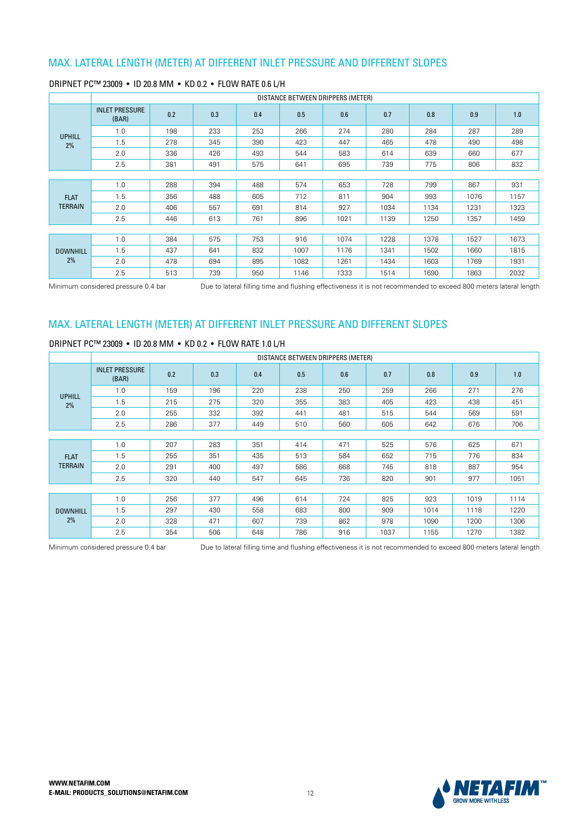|                 | DISTANCE BETWEEN DRIPPERS (METER) |     |     |     |      |      |      |      |      |      |  |
|-----------------|-----------------------------------|-----|-----|-----|------|------|------|------|------|------|--|
| <b>UPHILL</b>   | <b>INLET PRESSURE</b><br>(BAR)    | 0.2 | 0.3 | 0.4 | 0.5  | 0.6  | 0.7  | 0.8  | 0.9  | 1.0  |  |
|                 | 1.0                               | 198 | 233 | 253 | 266  | 274  | 280  | 284  | 287  | 289  |  |
| 2%              | 1.5                               | 278 | 345 | 390 | 423  | 447  | 465  | 478  | 490  | 498  |  |
|                 | 2.0                               | 336 | 426 | 493 | 544  | 583  | 614  | 639  | 660  | 677  |  |
|                 | 2.5                               | 381 | 491 | 575 | 641  | 695  | 739  | 775  | 806  | 832  |  |
|                 |                                   |     |     |     |      |      |      |      |      |      |  |
|                 | 1.0                               | 288 | 394 | 488 | 574  | 653  | 728  | 799  | 867  | 931  |  |
| <b>FLAT</b>     | 1.5                               | 356 | 488 | 605 | 712  | 811  | 904  | 993  | 1076 | 1157 |  |
| <b>TERRAIN</b>  | 2.0                               | 406 | 557 | 691 | 814  | 927  | 1034 | 1134 | 1231 | 1323 |  |
|                 | 2.5                               | 446 | 613 | 761 | 896  | 1021 | 1139 | 1250 | 1357 | 1459 |  |
|                 |                                   |     |     |     |      |      |      |      |      |      |  |
|                 | 1.0                               | 384 | 575 | 753 | 916  | 1074 | 1228 | 1378 | 1527 | 1673 |  |
| <b>DOWNHILL</b> | 1.5                               | 437 | 641 | 832 | 1007 | 1176 | 1341 | 1502 | 1660 | 1815 |  |
| 2%              | 2.0                               | 478 | 694 | 895 | 1082 | 1261 | 1434 | 1603 | 1769 | 1931 |  |
|                 | 2.5                               | 513 | 739 | 950 | 1146 | 1333 | 1514 | 1690 | 1863 | 2032 |  |

### DRIPNET PC™ 23009 · ID 20.8 MM · KD 0.2 · FLOW RATE 0.6 L/H

Minimum considered pressure 0.4 bar **Due to lateral filling time and flushing effectiveness it is not recommended to exceed 800 meters lateral length** 

## MAX. LATERAL LENGTH (METER) AT DIFFERENT INLET PRESSURE AND DIFFERENT SLOPES

### DRIPNET PC™ 23009 · ID 20.8 MM · KD 0.2 · FLOW RATE 1.0 L/H

|                 | DISTANCE BETWEEN DRIPPERS (METER) |     |     |     |     |     |      |      |      |      |  |
|-----------------|-----------------------------------|-----|-----|-----|-----|-----|------|------|------|------|--|
| <b>UPHILL</b>   | <b>INLET PRESSURE</b><br>(BAR)    | 0.2 | 0.3 | 0.4 | 0.5 | 0.6 | 0.7  | 0.8  | 0.9  | 1.0  |  |
|                 | 1.0                               | 159 | 196 | 220 | 238 | 250 | 259  | 266  | 271  | 276  |  |
| 2%              | 1.5                               | 215 | 275 | 320 | 355 | 383 | 405  | 423  | 438  | 451  |  |
|                 | 2.0                               | 255 | 332 | 392 | 441 | 481 | 515  | 544  | 569  | 591  |  |
|                 | 2.5                               | 286 | 377 | 449 | 510 | 560 | 605  | 642  | 676  | 706  |  |
|                 |                                   |     |     |     |     |     |      |      |      |      |  |
|                 | 1.0                               | 207 | 283 | 351 | 414 | 471 | 525  | 576  | 625  | 671  |  |
| <b>FLAT</b>     | 1.5                               | 255 | 351 | 435 | 513 | 584 | 652  | 715  | 776  | 834  |  |
| <b>TERRAIN</b>  | 2.0                               | 291 | 400 | 497 | 586 | 668 | 745  | 818  | 887  | 954  |  |
|                 | 2.5                               | 320 | 440 | 547 | 645 | 736 | 820  | 901  | 977  | 1051 |  |
|                 |                                   |     |     |     |     |     |      |      |      |      |  |
|                 | 1.0                               | 256 | 377 | 496 | 614 | 724 | 825  | 923  | 1019 | 1114 |  |
| <b>DOWNHILL</b> | 1.5                               | 297 | 430 | 558 | 683 | 800 | 909  | 1014 | 1118 | 1220 |  |
| 2%              | 2.0                               | 328 | 471 | 607 | 739 | 862 | 978  | 1090 | 1200 | 1306 |  |
|                 | 2.5                               | 354 | 506 | 648 | 786 | 916 | 1037 | 1155 | 1270 | 1382 |  |

Minimum considered pressure 0.4 bar **Due to lateral filling time and flushing effectiveness it is not recommended to exceed 800 meters lateral length** 

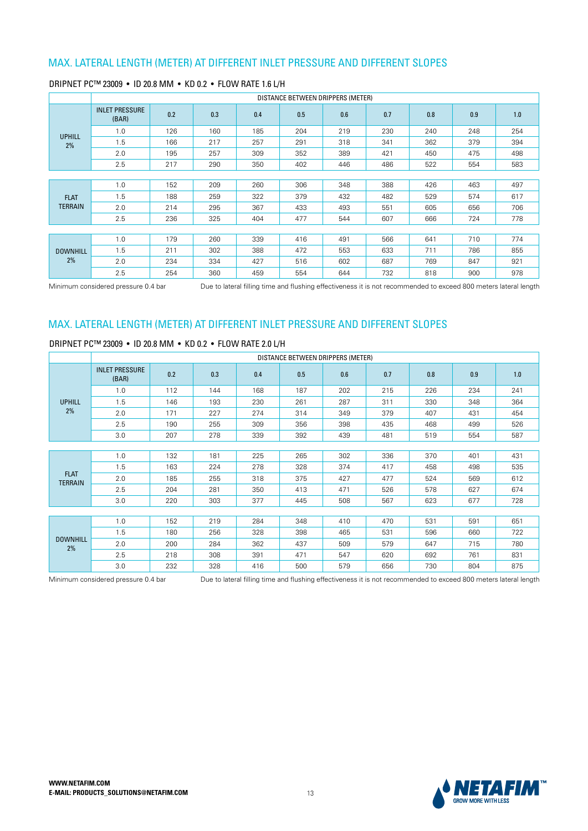|                     |                                | DISTANCE BETWEEN DRIPPERS (METER) |     |     |     |     |     |     |     |     |  |  |
|---------------------|--------------------------------|-----------------------------------|-----|-----|-----|-----|-----|-----|-----|-----|--|--|
| <b>UPHILL</b><br>2% | <b>INLET PRESSURE</b><br>(BAR) | 0.2                               | 0.3 | 0.4 | 0.5 | 0.6 | 0.7 | 0.8 | 0.9 | 1.0 |  |  |
|                     | 1.0                            | 126                               | 160 | 185 | 204 | 219 | 230 | 240 | 248 | 254 |  |  |
|                     | 1.5                            | 166                               | 217 | 257 | 291 | 318 | 341 | 362 | 379 | 394 |  |  |
|                     | 2.0                            | 195                               | 257 | 309 | 352 | 389 | 421 | 450 | 475 | 498 |  |  |
|                     | 2.5                            | 217                               | 290 | 350 | 402 | 446 | 486 | 522 | 554 | 583 |  |  |
|                     |                                |                                   |     |     |     |     |     |     |     |     |  |  |
|                     | 1.0                            | 152                               | 209 | 260 | 306 | 348 | 388 | 426 | 463 | 497 |  |  |
| <b>FLAT</b>         | 1.5                            | 188                               | 259 | 322 | 379 | 432 | 482 | 529 | 574 | 617 |  |  |
| <b>TERRAIN</b>      | 2.0                            | 214                               | 295 | 367 | 433 | 493 | 551 | 605 | 656 | 706 |  |  |
|                     | 2.5                            | 236                               | 325 | 404 | 477 | 544 | 607 | 666 | 724 | 778 |  |  |
|                     |                                |                                   |     |     |     |     |     |     |     |     |  |  |
|                     | 1.0                            | 179                               | 260 | 339 | 416 | 491 | 566 | 641 | 710 | 774 |  |  |
| <b>DOWNHILL</b>     | 1.5                            | 211                               | 302 | 388 | 472 | 553 | 633 | 711 | 786 | 855 |  |  |
| 2%                  | 2.0                            | 234                               | 334 | 427 | 516 | 602 | 687 | 769 | 847 | 921 |  |  |
|                     | 2.5                            | 254                               | 360 | 459 | 554 | 644 | 732 | 818 | 900 | 978 |  |  |

### DRIPNET PC™ 23009 · ID 20.8 MM · KD 0.2 · FLOW RATE 1.6 L/H

Minimum considered pressure 0.4 bar **Due to lateral filling time and flushing effectiveness it is not recommended to exceed 800 meters lateral length** 

## MAX. LATERAL LENGTH (METER) AT DIFFERENT INLET PRESSURE AND DIFFERENT SLOPES

### DRIPNET PC™ 23009 · ID 20.8 MM · KD 0.2 · FLOW RATE 2.0 L/H

|                               | DISTANCE BETWEEN DRIPPERS (METER) |     |     |     |     |     |     |     |     |     |  |
|-------------------------------|-----------------------------------|-----|-----|-----|-----|-----|-----|-----|-----|-----|--|
|                               | <b>INLET PRESSURE</b><br>(BAR)    | 0.2 | 0.3 | 0.4 | 0.5 | 0.6 | 0.7 | 0.8 | 0.9 | 1.0 |  |
|                               | 1.0                               | 112 | 144 | 168 | 187 | 202 | 215 | 226 | 234 | 241 |  |
| <b>UPHILL</b>                 | 1.5                               | 146 | 193 | 230 | 261 | 287 | 311 | 330 | 348 | 364 |  |
| 2%                            | 2.0                               | 171 | 227 | 274 | 314 | 349 | 379 | 407 | 431 | 454 |  |
|                               | 2.5                               | 190 | 255 | 309 | 356 | 398 | 435 | 468 | 499 | 526 |  |
|                               | 3.0                               | 207 | 278 | 339 | 392 | 439 | 481 | 519 | 554 | 587 |  |
|                               |                                   |     |     |     |     |     |     |     |     |     |  |
|                               | 1.0                               | 132 | 181 | 225 | 265 | 302 | 336 | 370 | 401 | 431 |  |
|                               | 1.5                               | 163 | 224 | 278 | 328 | 374 | 417 | 458 | 498 | 535 |  |
| <b>FLAT</b><br><b>TERRAIN</b> | 2.0                               | 185 | 255 | 318 | 375 | 427 | 477 | 524 | 569 | 612 |  |
|                               | 2.5                               | 204 | 281 | 350 | 413 | 471 | 526 | 578 | 627 | 674 |  |
|                               | 3.0                               | 220 | 303 | 377 | 445 | 508 | 567 | 623 | 677 | 728 |  |
|                               |                                   |     |     |     |     |     |     |     |     |     |  |
|                               | 1.0                               | 152 | 219 | 284 | 348 | 410 | 470 | 531 | 591 | 651 |  |
|                               | 1.5                               | 180 | 256 | 328 | 398 | 465 | 531 | 596 | 660 | 722 |  |
| <b>DOWNHILL</b><br>2%         | 2.0                               | 200 | 284 | 362 | 437 | 509 | 579 | 647 | 715 | 780 |  |
|                               | 2.5                               | 218 | 308 | 391 | 471 | 547 | 620 | 692 | 761 | 831 |  |
|                               | 3.0                               | 232 | 328 | 416 | 500 | 579 | 656 | 730 | 804 | 875 |  |

Minimum considered pressure 0.4 bar <br>
Due to lateral filling time and flushing effectiveness it is not recommended to exceed 800 meters lateral length